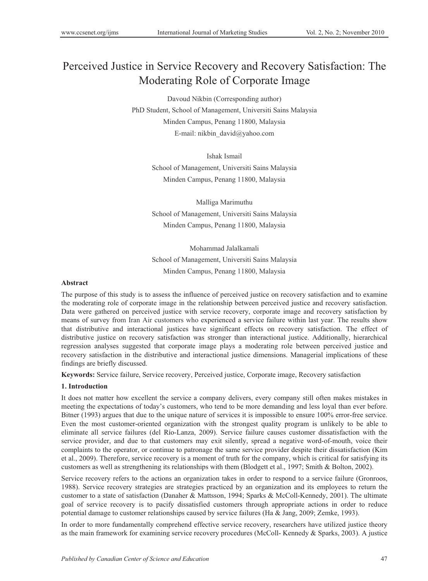# Perceived Justice in Service Recovery and Recovery Satisfaction: The Moderating Role of Corporate Image

Davoud Nikbin (Corresponding author) PhD Student, School of Management, Universiti Sains Malaysia Minden Campus, Penang 11800, Malaysia E-mail: nikbin\_david@yahoo.com

> Ishak Ismail School of Management, Universiti Sains Malaysia Minden Campus, Penang 11800, Malaysia

> Malliga Marimuthu School of Management, Universiti Sains Malaysia Minden Campus, Penang 11800, Malaysia

> Mohammad Jalalkamali School of Management, Universiti Sains Malaysia Minden Campus, Penang 11800, Malaysia

#### **Abstract**

The purpose of this study is to assess the influence of perceived justice on recovery satisfaction and to examine the moderating role of corporate image in the relationship between perceived justice and recovery satisfaction. Data were gathered on perceived justice with service recovery, corporate image and recovery satisfaction by means of survey from Iran Air customers who experienced a service failure within last year. The results show that distributive and interactional justices have significant effects on recovery satisfaction. The effect of distributive justice on recovery satisfaction was stronger than interactional justice. Additionally, hierarchical regression analyses suggested that corporate image plays a moderating role between perceived justice and recovery satisfaction in the distributive and interactional justice dimensions. Managerial implications of these findings are briefly discussed.

**Keywords:** Service failure, Service recovery, Perceived justice, Corporate image, Recovery satisfaction

# **1. Introduction**

It does not matter how excellent the service a company delivers, every company still often makes mistakes in meeting the expectations of today's customers, who tend to be more demanding and less loyal than ever before. Bitner (1993) argues that due to the unique nature of services it is impossible to ensure 100% error-free service. Even the most customer-oriented organization with the strongest quality program is unlikely to be able to eliminate all service failures (del Río-Lanza, 2009). Service failure causes customer dissatisfaction with the service provider, and due to that customers may exit silently, spread a negative word-of-mouth, voice their complaints to the operator, or continue to patronage the same service provider despite their dissatisfaction (Kim et al., 2009). Therefore, service recovery is a moment of truth for the company, which is critical for satisfying its customers as well as strengthening its relationships with them (Blodgett et al., 1997; Smith & Bolton, 2002).

Service recovery refers to the actions an organization takes in order to respond to a service failure (Gronroos, 1988). Service recovery strategies are strategies practiced by an organization and its employees to return the customer to a state of satisfaction (Danaher & Mattsson, 1994; Sparks & McColl-Kennedy, 2001). The ultimate goal of service recovery is to pacify dissatisfied customers through appropriate actions in order to reduce potential damage to customer relationships caused by service failures (Ha & Jang, 2009; Zemke, 1993).

In order to more fundamentally comprehend effective service recovery, researchers have utilized justice theory as the main framework for examining service recovery procedures (McColl- Kennedy & Sparks, 2003). A justice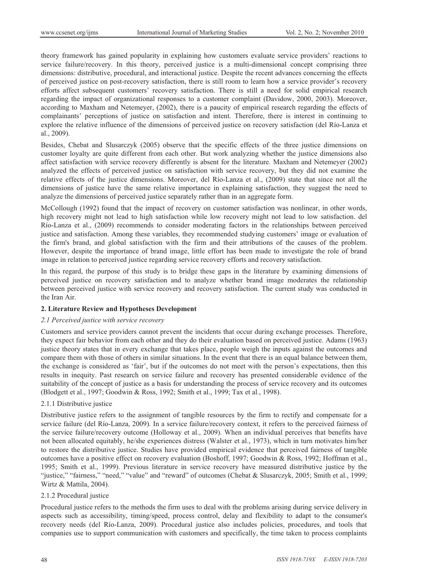theory framework has gained popularity in explaining how customers evaluate service providers' reactions to service failure/recovery. In this theory, perceived justice is a multi-dimensional concept comprising three dimensions: distributive, procedural, and interactional justice. Despite the recent advances concerning the effects of perceived justice on post-recovery satisfaction, there is still room to learn how a service provider's recovery efforts affect subsequent customers' recovery satisfaction. There is still a need for solid empirical research regarding the impact of organizational responses to a customer complaint (Davidow, 2000, 2003). Moreover, according to Maxham and Netemeyer, (2002), there is a paucity of empirical research regarding the effects of complainants' perceptions of justice on satisfaction and intent. Therefore, there is interest in continuing to explore the relative influence of the dimensions of perceived justice on recovery satisfaction (del Río-Lanza et al., 2009).

Besides, Chebat and Slusarczyk (2005) observe that the specific effects of the three justice dimensions on customer loyalty are quite different from each other. But work analyzing whether the justice dimensions also affect satisfaction with service recovery differently is absent for the literature. Maxham and Netemeyer (2002) analyzed the effects of perceived justice on satisfaction with service recovery, but they did not examine the relative effects of the justice dimensions. Moreover, del Río-Lanza et al., (2009) state that since not all the dimensions of justice have the same relative importance in explaining satisfaction, they suggest the need to analyze the dimensions of perceived justice separately rather than in an aggregate form.

McCollough (1992) found that the impact of recovery on customer satisfaction was nonlinear, in other words, high recovery might not lead to high satisfaction while low recovery might not lead to low satisfaction. del Río-Lanza et al., (2009) recommends to consider moderating factors in the relationships between perceived justice and satisfaction. Among these variables, they recommended studying customers' image or evaluation of the firm's brand, and global satisfaction with the firm and their attributions of the causes of the problem. However, despite the importance of brand image, little effort has been made to investigate the role of brand image in relation to perceived justice regarding service recovery efforts and recovery satisfaction.

In this regard, the purpose of this study is to bridge these gaps in the literature by examining dimensions of perceived justice on recovery satisfaction and to analyze whether brand image moderates the relationship between perceived justice with service recovery and recovery satisfaction. The current study was conducted in the Iran Air.

#### **2. Literature Review and Hypotheses Development**

#### *2.1 Perceived justice with service recovery*

Customers and service providers cannot prevent the incidents that occur during exchange processes. Therefore, they expect fair behavior from each other and they do their evaluation based on perceived justice. Adams (1963) justice theory states that in every exchange that takes place, people weigh the inputs against the outcomes and compare them with those of others in similar situations. In the event that there is an equal balance between them, the exchange is considered as 'fair', but if the outcomes do not meet with the person's expectations, then this results in inequity. Past research on service failure and recovery has presented considerable evidence of the suitability of the concept of justice as a basis for understanding the process of service recovery and its outcomes (Blodgett et al., 1997; Goodwin & Ross, 1992; Smith et al., 1999; Tax et al., 1998).

# 2.1.1 Distributive justice

Distributive justice refers to the assignment of tangible resources by the firm to rectify and compensate for a service failure (del Río-Lanza, 2009). In a service failure/recovery context, it refers to the perceived fairness of the service failure/recovery outcome (Holloway et al., 2009). When an individual perceives that benefits have not been allocated equitably, he/she experiences distress (Walster et al., 1973), which in turn motivates him/her to restore the distributive justice. Studies have provided empirical evidence that perceived fairness of tangible outcomes have a positive effect on recovery evaluation (Boshoff, 1997; Goodwin & Ross, 1992; Hoffman et al., 1995; Smith et al., 1999). Previous literature in service recovery have measured distributive justice by the "justice," "fairness," "need," "value" and "reward" of outcomes (Chebat & Slusarczyk, 2005; Smith et al., 1999; Wirtz & Mattila, 2004).

# 2.1.2 Procedural justice

Procedural justice refers to the methods the firm uses to deal with the problems arising during service delivery in aspects such as accessibility, timing/speed, process control, delay and flexibility to adapt to the consumer's recovery needs (del Río-Lanza, 2009). Procedural justice also includes policies, procedures, and tools that companies use to support communication with customers and specifically, the time taken to process complaints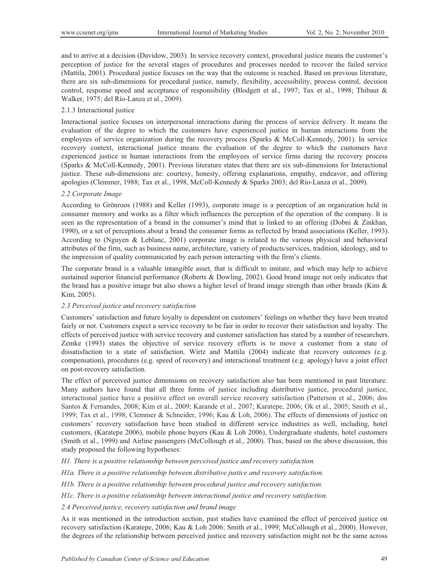and to arrive at a decision (Davidow, 2003). In service recovery context, procedural justice means the customer's perception of justice for the several stages of procedures and processes needed to recover the failed service (Mattila, 2001). Procedural justice focuses on the way that the outcome is reached. Based on previous literature, there are six sub-dimensions for procedural justice, namely, flexibility, accessibility, process control, decision control, response speed and acceptance of responsibility (Blodgett et al., 1997; Tax et al., 1998; Thibaut & Walker, 1975; del Río-Lanza et al., 2009).

#### 2.1.3 Interactional justice

Interactional justice focuses on interpersonal interactions during the process of service delivery. It means the evaluation of the degree to which the customers have experienced justice in human interactions from the employees of service organization during the recovery process (Sparks & McColl-Kennedy, 2001). In service recovery context, interactional justice means the evaluation of the degree to which the customers have experienced justice in human interactions from the employees of service firms during the recovery process (Sparks & McColl-Kennedy, 2001). Previous literature states that there are six sub-dimensions for Interactional justice. These sub-dimensions are: courtesy, honesty, offering explanations, empathy, endeavor, and offering apologies (Clemmer, 1988; Tax et al., 1998, McColl-Kennedy & Sparks 2003; del Río-Lanza et al., 2009).

# *2.2 Corporate Image*

According to Grönroos (1988) and Keller (1993), corporate image is a perception of an organization held in consumer memory and works as a filter which influences the perception of the operation of the company. It is seen as the representation of a brand in the consumer's mind that is linked to an offering (Dobni & Zinkhan, 1990), or a set of perceptions about a brand the consumer forms as reflected by brand associations (Keller, 1993). According to (Nguyen & Leblanc, 2001) corporate image is related to the various physical and behavioral attributes of the firm, such as business name, architecture, variety of products/services, tradition, ideology, and to the impression of quality communicated by each person interacting with the firm's clients.

The corporate brand is a valuable intangible asset, that is difficult to imitate, and which may help to achieve sustained superior financial performance (Roberts & Dowling, 2002). Good brand image not only indicates that the brand has a positive image but also shows a higher level of brand image strength than other brands (Kim & Kim, 2005).

#### *2.3 Perceived justice and recovery satisfaction*

Customers' satisfaction and future loyalty is dependent on customers' feelings on whether they have been treated fairly or not. Customers expect a service recovery to be fair in order to recover their satisfaction and loyalty. The effects of perceived justice with service recovery and customer satisfaction has stated by a number of researchers. Zemke (1993) states the objective of service recovery efforts is to move a customer from a state of dissatisfaction to a state of satisfaction. Wirtz and Mattila (2004) indicate that recovery outcomes (e.g. compensation), procedures (e.g. speed of recovery) and interactional treatment (e.g. apology) have a joint effect on post-recovery satisfaction.

The effect of perceived justice dimensions on recovery satisfaction also has been mentioned in past literature. Many authors have found that all three forms of justice including distributive justice, procedural justice, interactional justice have a positive effect on overall service recovery satisfaction (Patterson et al., 2006; dos Santos & Fernandes, 2008; Kim et al., 2009; Karande et al., 2007; Karatepe, 2006; Ok et al., 2005; Smith et al., 1999; Tax et al., 1998; Clemmer & Schneider, 1996; Kau & Loh, 2006). The effects of dimensions of justice on customers' recovery satisfaction have been studied in different service industries as well, including, hotel customers, (Karatepe 2006), mobile phone buyers (Kau & Loh 2006), Undergraduate students, hotel customers (Smith et al., 1999) and Airline passengers (McCollough et al., 2000). Thus, based on the above discussion, this study proposed the following hypotheses:

*H1. There is a positive relationship between perceived justice and recovery satisfaction.* 

*H1a. There is a positive relationship between distributive justice and recovery satisfaction.* 

*H1b. There is a positive relationship between procedural justice and recovery satisfaction.* 

*H1c. There is a positive relationship between interactional justice and recovery satisfaction.* 

*2.4 Perceived justice, recovery satisfaction and brand image* 

As it was mentioned in the introduction section, past studies have examined the effect of perceived justice on recovery satisfaction (Karatepe, 2006; Kau & Loh 2006; Smith et al., 1999; McCollough et al., 2000). However, the degrees of the relationship between perceived justice and recovery satisfaction might not be the same across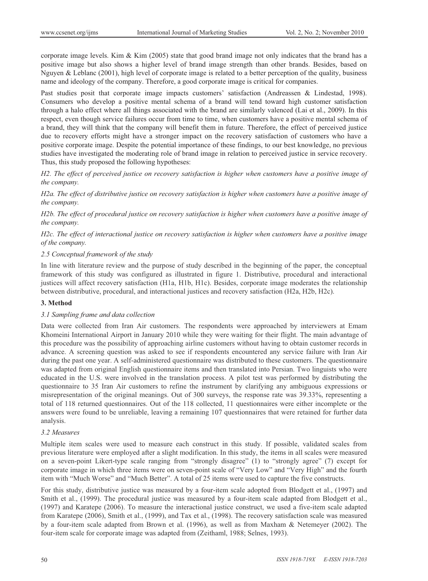corporate image levels. Kim  $\&$  Kim (2005) state that good brand image not only indicates that the brand has a positive image but also shows a higher level of brand image strength than other brands. Besides, based on Nguyen & Leblanc (2001), high level of corporate image is related to a better perception of the quality, business name and ideology of the company. Therefore, a good corporate image is critical for companies.

Past studies posit that corporate image impacts customers' satisfaction (Andreassen & Lindestad, 1998). Consumers who develop a positive mental schema of a brand will tend toward high customer satisfaction through a halo effect where all things associated with the brand are similarly valenced (Lai et al., 2009). In this respect, even though service failures occur from time to time, when customers have a positive mental schema of a brand, they will think that the company will benefit them in future. Therefore, the effect of perceived justice due to recovery efforts might have a stronger impact on the recovery satisfaction of customers who have a positive corporate image. Despite the potential importance of these findings, to our best knowledge, no previous studies have investigated the moderating role of brand image in relation to perceived justice in service recovery. Thus, this study proposed the following hypotheses:

*H2. The effect of perceived justice on recovery satisfaction is higher when customers have a positive image of the company.* 

*H2a. The effect of distributive justice on recovery satisfaction is higher when customers have a positive image of the company.* 

*H2b. The effect of procedural justice on recovery satisfaction is higher when customers have a positive image of the company.* 

*H2c. The effect of interactional justice on recovery satisfaction is higher when customers have a positive image of the company.* 

#### *2.5 Conceptual framework of the study*

In line with literature review and the purpose of study described in the beginning of the paper, the conceptual framework of this study was configured as illustrated in figure 1. Distributive, procedural and interactional justices will affect recovery satisfaction (H1a, H1b, H1c). Besides, corporate image moderates the relationship between distributive, procedural, and interactional justices and recovery satisfaction (H2a, H2b, H2c).

#### **3. Method**

# *3.1 Sampling frame and data collection*

Data were collected from Iran Air customers. The respondents were approached by interviewers at Emam Khomeini International Airport in January 2010 while they were waiting for their flight. The main advantage of this procedure was the possibility of approaching airline customers without having to obtain customer records in advance. A screening question was asked to see if respondents encountered any service failure with Iran Air during the past one year. A self-administered questionnaire was distributed to these customers. The questionnaire was adapted from original English questionnaire items and then translated into Persian. Two linguists who were educated in the U.S. were involved in the translation process. A pilot test was performed by distributing the questionnaire to 35 Iran Air customers to refine the instrument by clarifying any ambiguous expressions or misrepresentation of the original meanings. Out of 300 surveys, the response rate was 39.33%, representing a total of 118 returned questionnaires. Out of the 118 collected, 11 questionnaires were either incomplete or the answers were found to be unreliable, leaving a remaining 107 questionnaires that were retained for further data analysis.

# *3.2 Measures*

Multiple item scales were used to measure each construct in this study. If possible, validated scales from previous literature were employed after a slight modification. In this study, the items in all scales were measured on a seven-point Likert-type scale ranging from "strongly disagree" (1) to "strongly agree" (7) except for corporate image in which three items were on seven-point scale of "Very Low" and "Very High" and the fourth item with "Much Worse" and "Much Better". A total of 25 items were used to capture the five constructs.

For this study, distributive justice was measured by a four-item scale adopted from Blodgett et al., (1997) and Smith et al., (1999). The procedural justice was measured by a four-item scale adapted from Blodgett et al., (1997) and Karatepe (2006). To measure the interactional justice construct, we used a five-item scale adapted from Karatepe (2006), Smith et al., (1999), and Tax et al., (1998). The recovery satisfaction scale was measured by a four-item scale adapted from Brown et al. (1996), as well as from Maxham & Netemeyer (2002). The four-item scale for corporate image was adapted from (Zeithaml, 1988; Selnes, 1993).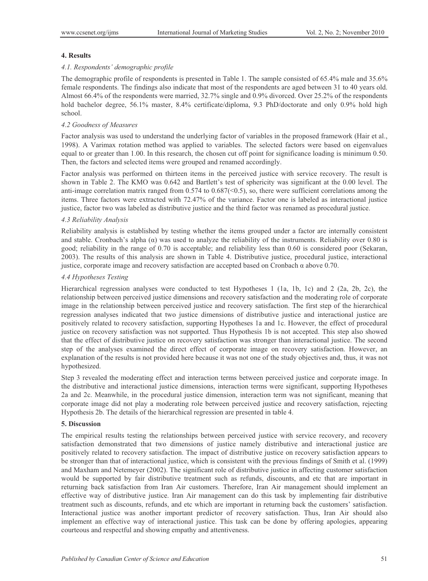# **4. Results**

#### *4.1. Respondents' demographic profile*

The demographic profile of respondents is presented in Table 1. The sample consisted of 65.4% male and 35.6% female respondents. The findings also indicate that most of the respondents are aged between 31 to 40 years old. Almost 66.4% of the respondents were married, 32.7% single and 0.9% divorced. Over 25.2% of the respondents hold bachelor degree, 56.1% master, 8.4% certificate/diploma, 9.3 PhD/doctorate and only 0.9% hold high school.

#### *4.2 Goodness of Measures*

Factor analysis was used to understand the underlying factor of variables in the proposed framework (Hair et al., 1998). A Varimax rotation method was applied to variables. The selected factors were based on eigenvalues equal to or greater than 1.00. In this research, the chosen cut off point for significance loading is minimum 0.50. Then, the factors and selected items were grouped and renamed accordingly.

Factor analysis was performed on thirteen items in the perceived justice with service recovery. The result is shown in Table 2. The KMO was 0.642 and Bartlett's test of sphericity was significant at the 0.00 level. The anti-image correlation matrix ranged from  $0.574$  to  $0.687 \leq 0.5$ , so, there were sufficient correlations among the items. Three factors were extracted with 72.47% of the variance. Factor one is labeled as interactional justice justice, factor two was labeled as distributive justice and the third factor was renamed as procedural justice.

#### *4.3 Reliability Analysis*

Reliability analysis is established by testing whether the items grouped under a factor are internally consistent and stable. Cronbach's alpha  $(\alpha)$  was used to analyze the reliability of the instruments. Reliability over 0.80 is good; reliability in the range of 0.70 is acceptable; and reliability less than 0.60 is considered poor (Sekaran, 2003). The results of this analysis are shown in Table 4. Distributive justice, procedural justice, interactional justice, corporate image and recovery satisfaction are accepted based on Cronbach  $\alpha$  above 0.70.

# *4.4 Hypotheses Testing*

Hierarchical regression analyses were conducted to test Hypotheses 1 (1a, 1b, 1c) and 2 (2a, 2b, 2c), the relationship between perceived justice dimensions and recovery satisfaction and the moderating role of corporate image in the relationship between perceived justice and recovery satisfaction. The first step of the hierarchical regression analyses indicated that two justice dimensions of distributive justice and interactional justice are positively related to recovery satisfaction, supporting Hypotheses 1a and 1c. However, the effect of procedural justice on recovery satisfaction was not supported. Thus Hypothesis 1b is not accepted. This step also showed that the effect of distributive justice on recovery satisfaction was stronger than interactional justice. The second step of the analyses examined the direct effect of corporate image on recovery satisfaction. However, an explanation of the results is not provided here because it was not one of the study objectives and, thus, it was not hypothesized.

Step 3 revealed the moderating effect and interaction terms between perceived justice and corporate image. In the distributive and interactional justice dimensions, interaction terms were significant, supporting Hypotheses 2a and 2c. Meanwhile, in the procedural justice dimension, interaction term was not significant, meaning that corporate image did not play a moderating role between perceived justice and recovery satisfaction, rejecting Hypothesis 2b. The details of the hierarchical regression are presented in table 4.

# **5. Discussion**

The empirical results testing the relationships between perceived justice with service recovery, and recovery satisfaction demonstrated that two dimensions of justice namely distributive and interactional justice are positively related to recovery satisfaction. The impact of distributive justice on recovery satisfaction appears to be stronger than that of interactional justice, which is consistent with the previous findings of Smith et al. (1999) and Maxham and Netemeyer (2002). The significant role of distributive justice in affecting customer satisfaction would be supported by fair distributive treatment such as refunds, discounts, and etc that are important in returning back satisfaction from Iran Air customers. Therefore, Iran Air management should implement an effective way of distributive justice. Iran Air management can do this task by implementing fair distributive treatment such as discounts, refunds, and etc which are important in returning back the customers' satisfaction. Interactional justice was another important predictor of recovery satisfaction. Thus, Iran Air should also implement an effective way of interactional justice. This task can be done by offering apologies, appearing courteous and respectful and showing empathy and attentiveness.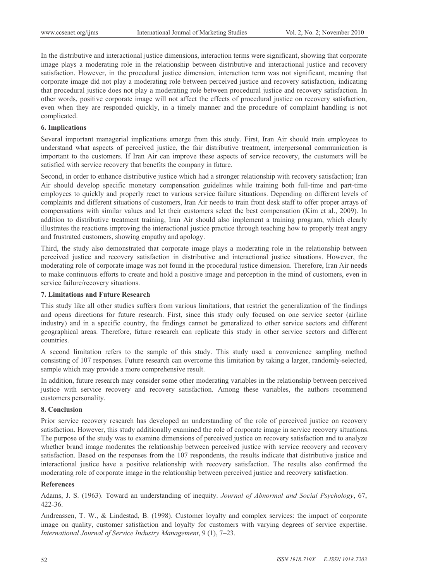In the distributive and interactional justice dimensions, interaction terms were significant, showing that corporate image plays a moderating role in the relationship between distributive and interactional justice and recovery satisfaction. However, in the procedural justice dimension, interaction term was not significant, meaning that corporate image did not play a moderating role between perceived justice and recovery satisfaction, indicating that procedural justice does not play a moderating role between procedural justice and recovery satisfaction. In other words, positive corporate image will not affect the effects of procedural justice on recovery satisfaction, even when they are responded quickly, in a timely manner and the procedure of complaint handling is not complicated.

#### **6. Implications**

Several important managerial implications emerge from this study. First, Iran Air should train employees to understand what aspects of perceived justice, the fair distributive treatment, interpersonal communication is important to the customers. If Iran Air can improve these aspects of service recovery, the customers will be satisfied with service recovery that benefits the company in future.

Second, in order to enhance distributive justice which had a stronger relationship with recovery satisfaction; Iran Air should develop specific monetary compensation guidelines while training both full-time and part-time employees to quickly and properly react to various service failure situations. Depending on different levels of complaints and different situations of customers, Iran Air needs to train front desk staff to offer proper arrays of compensations with similar values and let their customers select the best compensation (Kim et al., 2009). In addition to distributive treatment training, Iran Air should also implement a training program, which clearly illustrates the reactions improving the interactional justice practice through teaching how to properly treat angry and frustrated customers, showing empathy and apology.

Third, the study also demonstrated that corporate image plays a moderating role in the relationship between perceived justice and recovery satisfaction in distributive and interactional justice situations. However, the moderating role of corporate image was not found in the procedural justice dimension. Therefore, Iran Air needs to make continuous efforts to create and hold a positive image and perception in the mind of customers, even in service failure/recovery situations.

# **7. Limitations and Future Research**

This study like all other studies suffers from various limitations, that restrict the generalization of the findings and opens directions for future research. First, since this study only focused on one service sector (airline industry) and in a specific country, the findings cannot be generalized to other service sectors and different geographical areas. Therefore, future research can replicate this study in other service sectors and different countries.

A second limitation refers to the sample of this study. This study used a convenience sampling method consisting of 107 responses. Future research can overcome this limitation by taking a larger, randomly-selected, sample which may provide a more comprehensive result.

In addition, future research may consider some other moderating variables in the relationship between perceived justice with service recovery and recovery satisfaction. Among these variables, the authors recommend customers personality.

# **8. Conclusion**

Prior service recovery research has developed an understanding of the role of perceived justice on recovery satisfaction. However, this study additionally examined the role of corporate image in service recovery situations. The purpose of the study was to examine dimensions of perceived justice on recovery satisfaction and to analyze whether brand image moderates the relationship between perceived justice with service recovery and recovery satisfaction. Based on the responses from the 107 respondents, the results indicate that distributive justice and interactional justice have a positive relationship with recovery satisfaction. The results also confirmed the moderating role of corporate image in the relationship between perceived justice and recovery satisfaction.

# **References**

Adams, J. S. (1963). Toward an understanding of inequity. *Journal of Abnormal and Social Psychology*, 67, 422-36.

Andreassen, T. W., & Lindestad, B. (1998). Customer loyalty and complex services: the impact of corporate image on quality, customer satisfaction and loyalty for customers with varying degrees of service expertise. *International Journal of Service Industry Management*, 9 (1), 7–23.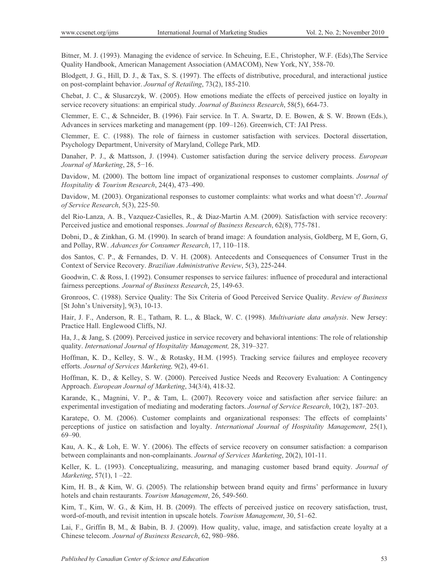Bitner, M. J. (1993). Managing the evidence of service. In Scheuing, E.E., Christopher, W.F. (Eds),The Service Quality Handbook, American Management Association (AMACOM), New York, NY, 358-70.

Blodgett, J. G., Hill, D. J., & Tax, S. S. (1997). The effects of distributive, procedural, and interactional justice on post-complaint behavior. *Journal of Retailing*, 73(2), 185-210.

Chebat, J. C., & Slusarczyk, W. (2005). How emotions mediate the effects of perceived justice on loyalty in service recovery situations: an empirical study. *Journal of Business Research*, 58(5), 664-73.

Clemmer, E. C., & Schneider, B. (1996). Fair service. In T. A. Swartz, D. E. Bowen, & S. W. Brown (Eds.), Advances in services marketing and management (pp. 109–126). Greenwich, CT: JAI Press.

Clemmer, E. C. (1988). The role of fairness in customer satisfaction with services. Doctoral dissertation, Psychology Department, University of Maryland, College Park, MD.

Danaher, P. J., & Mattsson, J. (1994). Customer satisfaction during the service delivery process. *European Journal of Marketing*, 28, 5-16.

Davidow, M. (2000). The bottom line impact of organizational responses to customer complaints. *Journal of Hospitality & Tourism Research*, 24(4), 473–490.

Davidow, M. (2003). Organizational responses to customer complaints: what works and what doesn't?. *Journal of Service Research*, 5(3), 225-50.

del Rio-Lanza, A. B., Vazquez-Casielles, R., & Diaz-Martin A.M. (2009). Satisfaction with service recovery: Perceived justice and emotional responses. *Journal of Business Research*, 62(8), 775-781.

Dobni, D., & Zinkhan, G. M. (1990). In search of brand image: A foundation analysis, Goldberg, M E, Gorn, G, and Pollay, RW. *Advances for Consumer Research*, 17, 110–118.

dos Santos, C. P., & Fernandes, D. V. H. (2008). Antecedents and Consequences of Consumer Trust in the Context of Service Recovery. *Brazilian Administrative Review*, 5(3), 225-244.

Goodwin, C. & Ross, I. (1992). Consumer responses to service failures: influence of procedural and interactional fairness perceptions. *Journal of Business Research*, 25, 149-63.

Gronroos, C. (1988). Service Quality: The Six Criteria of Good Perceived Service Quality. *Review of Business* [St John's University], 9(3), 10-13.

Hair, J. F., Anderson, R. E., Tatham, R. L., & Black, W. C. (1998). *Multivariate data analysis*. New Jersey: Practice Hall. Englewood Cliffs, NJ.

Ha, J., & Jang, S. (2009). Perceived justice in service recovery and behavioral intentions: The role of relationship quality. *International Journal of Hospitality Management,* 28, 319–327.

Hoffman, K. D., Kelley, S. W., & Rotasky, H.M. (1995). Tracking service failures and employee recovery efforts. *Journal of Services Marketing,* 9(2), 49-61.

Hoffman, K. D., & Kelley, S. W. (2000). Perceived Justice Needs and Recovery Evaluation: A Contingency Approach. *European Journal of Marketing*, 34(3/4), 418-32.

Karande, K., Magnini, V. P., & Tam, L. (2007). Recovery voice and satisfaction after service failure: an experimental investigation of mediating and moderating factors. *Journal of Service Research*, 10(2), 187–203.

Karatepe, O. M. (2006). Customer complaints and organizational responses: The effects of complaints' perceptions of justice on satisfaction and loyalty. *International Journal of Hospitality Management*, 25(1), 69–90.

Kau, A. K., & Loh, E. W. Y. (2006). The effects of service recovery on consumer satisfaction: a comparison between complainants and non-complainants. *Journal of Services Marketing*, 20(2), 101-11.

Keller, K. L. (1993). Conceptualizing, measuring, and managing customer based brand equity. *Journal of Marketing*, 57(1), 1 –22.

Kim, H. B., & Kim, W. G. (2005). The relationship between brand equity and firms' performance in luxury hotels and chain restaurants. *Tourism Management*, 26, 549-560.

Kim, T., Kim, W. G., & Kim, H. B. (2009). The effects of perceived justice on recovery satisfaction, trust, word-of-mouth, and revisit intention in upscale hotels. *Tourism Management*, 30, 51–62.

Lai, F., Griffin B, M., & Babin, B. J. (2009). How quality, value, image, and satisfaction create loyalty at a Chinese telecom. *Journal of Business Research*, 62, 980–986.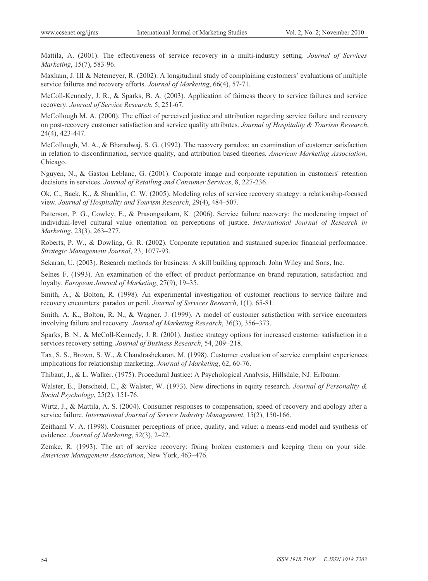Mattila, A. (2001). The effectiveness of service recovery in a multi-industry setting. *Journal of Services Marketing*, 15(7), 583-96.

Maxham, J. III & Netemeyer, R. (2002). A longitudinal study of complaining customers' evaluations of multiple service failures and recovery efforts. *Journal of Marketing*, 66(4), 57-71.

McColl-Kennedy, J. R., & Sparks, B. A. (2003). Application of fairness theory to service failures and service recovery. *Journal of Service Research*, 5, 251-67.

McCollough M. A. (2000). The effect of perceived justice and attribution regarding service failure and recovery on post-recovery customer satisfaction and service quality attributes. *Journal of Hospitality & Tourism Research*, 24(4), 423-447.

McCollough, M. A., & Bharadwaj, S. G. (1992). The recovery paradox: an examination of customer satisfaction in relation to disconfirmation, service quality, and attribution based theories. *American Marketing Association*, Chicago.

Nguyen, N., & Gaston Leblanc, G. (2001). Corporate image and corporate reputation in customers' retention decisions in services. *Journal of Retailing and Consumer Services*, 8, 227-236.

Ok, C., Back, K., & Shanklin, C. W. (2005). Modeling roles of service recovery strategy: a relationship-focused view. *Journal of Hospitality and Tourism Research*, 29(4), 484–507.

Patterson, P. G., Cowley, E., & Prasongsukarn, K. (2006). Service failure recovery: the moderating impact of individual-level cultural value orientation on perceptions of justice. *International Journal of Research in Marketing*, 23(3), 263–277.

Roberts, P. W., & Dowling, G. R. (2002). Corporate reputation and sustained superior financial performance. *Strategic Management Journal*, 23, 1077-93.

Sekaran, U. (2003). Research methods for business: A skill building approach. John Wiley and Sons, Inc.

Selnes F. (1993). An examination of the effect of product performance on brand reputation, satisfaction and loyalty. *European Journal of Marketing*, 27(9), 19–35.

Smith, A., & Bolton, R. (1998). An experimental investigation of customer reactions to service failure and recovery encounters: paradox or peril. *Journal of Services Research*, 1(1), 65-81.

Smith, A. K., Bolton, R. N., & Wagner, J. (1999). A model of customer satisfaction with service encounters involving failure and recovery. *Journal of Marketing Research*, 36(3), 356–373.

Sparks, B. N., & McColl-Kennedy, J. R. (2001). Justice strategy options for increased customer satisfaction in a services recovery setting. *Journal of Business Research*, 54, 209-218.

Tax, S. S., Brown, S. W., & Chandrashekaran, M. (1998). Customer evaluation of service complaint experiences: implications for relationship marketing. *Journal of Marketing*, 62, 60-76.

Thibaut, J., & L. Walker. (1975). Procedural Justice: A Psychological Analysis, Hillsdale, NJ: Erlbaum.

Walster, E., Berscheid, E., & Walster, W. (1973). New directions in equity research. *Journal of Personality & Social Psychology*, 25(2), 151-76.

Wirtz, J., & Mattila, A. S. (2004). Consumer responses to compensation, speed of recovery and apology after a service failure. *International Journal of Service Industry Management*, 15(2), 150-166.

Zeithaml V. A. (1998). Consumer perceptions of price, quality, and value: a means-end model and synthesis of evidence. *Journal of Marketing*, 52(3), 2–22.

Zemke, R. (1993). The art of service recovery: fixing broken customers and keeping them on your side. *American Management Association*, New York, 463–476.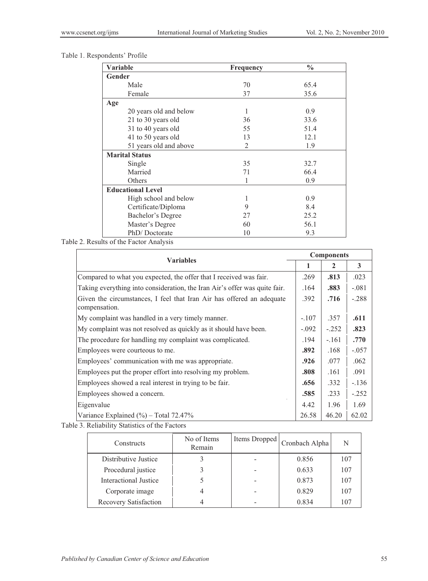| Variable                 | Frequency      | $\frac{0}{0}$ |
|--------------------------|----------------|---------------|
| Gender                   |                |               |
| Male                     | 70             | 65.4          |
| Female                   | 37             | 35.6          |
| Age                      |                |               |
| 20 years old and below   | 1              | 0.9           |
| 21 to 30 years old       | 36             | 33.6          |
| 31 to 40 years old       | 55             | 51.4          |
| 41 to 50 years old       | 13             | 12.1          |
| 51 years old and above   | $\overline{2}$ | 1.9           |
| <b>Marital Status</b>    |                |               |
| Single                   | 35             | 32.7          |
| Married                  | 71             | 66.4          |
| Others                   | 1              | 0.9           |
| <b>Educational Level</b> |                |               |
| High school and below    | 1              | 0.9           |
| Certificate/Diploma      | 9              | 8.4           |
| Bachelor's Degree        | 27             | 25.2          |
| Master's Degree          | 60             | 56.1          |
| PhD/Doctorate            | 10             | 9.3           |

Table 1. Respondents' Profile

Table 2. Results of the Factor Analysis

| <b>Variables</b>                                                                       |         | <b>Components</b> |         |  |
|----------------------------------------------------------------------------------------|---------|-------------------|---------|--|
|                                                                                        |         | 2                 | 3       |  |
| Compared to what you expected, the offer that I received was fair.                     |         | .813              | .023    |  |
| Taking everything into consideration, the Iran Air's offer was quite fair.             | .164    | .883              | $-.081$ |  |
| Given the circumstances, I feel that Iran Air has offered an adequate<br>compensation. | .392    | .716              | $-.288$ |  |
| My complaint was handled in a very timely manner.                                      | $-.107$ | .357              | .611    |  |
| My complaint was not resolved as quickly as it should have been.                       | $-.092$ | $-.252$           | .823    |  |
| The procedure for handling my complaint was complicated.                               | .194    | $-.161$           | .770    |  |
| Employees were courteous to me.                                                        | .892    | .168              | $-.057$ |  |
| Employees' communication with me was appropriate.                                      | .926    | .077              | .062    |  |
| Employees put the proper effort into resolving my problem.                             | .808    | .161              | .091    |  |
| Employees showed a real interest in trying to be fair.                                 | .656    | .332              | $-.136$ |  |
| Employees showed a concern.                                                            | .585    | .233              | $-.252$ |  |
| Eigenvalue                                                                             | 4.42    | 1.96              | 1.69    |  |
| Variance Explained $(\% )$ – Total 72.47%                                              | 26.58   | 46.20             | 62.02   |  |

Table 3. Reliability Statistics of the Factors

| Constructs                   | No of Items<br>Remain | Items Dropped | Cronbach Alpha | N   |
|------------------------------|-----------------------|---------------|----------------|-----|
| Distributive Justice         |                       |               | 0.856          | 107 |
| Procedural justice           |                       |               | 0.633          | 107 |
| <b>Interactional Justice</b> |                       |               | 0.873          | 107 |
| Corporate image              |                       |               | 0.829          | 107 |
| Recovery Satisfaction        |                       |               | 0.834          | 107 |